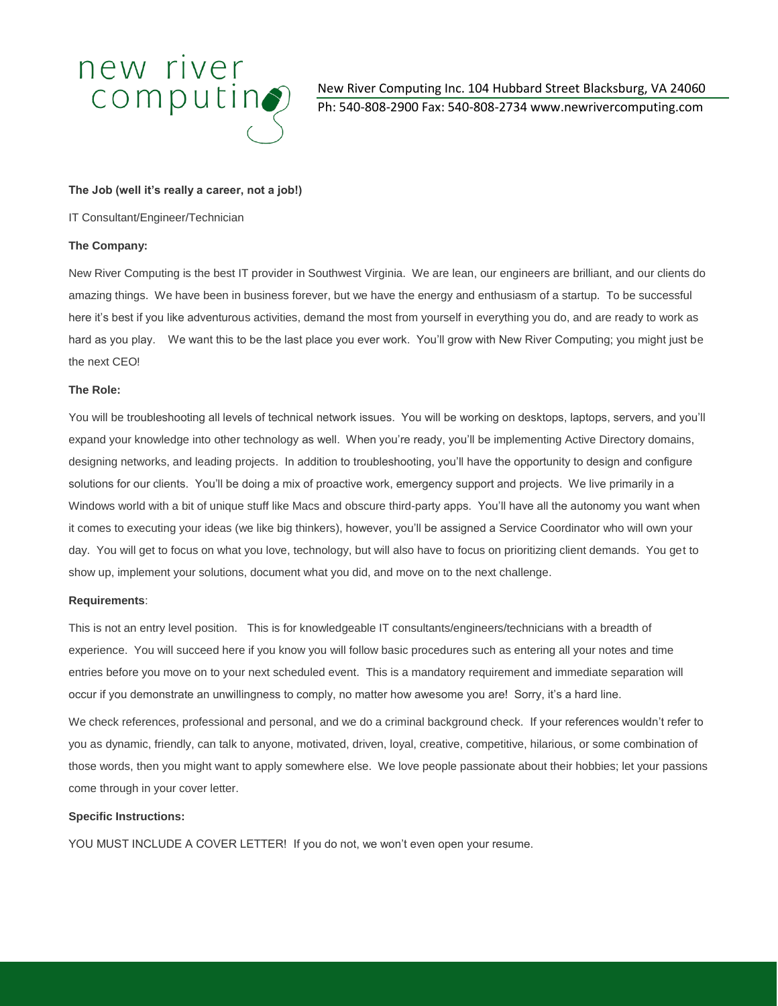

New River Computing Inc. 104 Hubbard Street Blacksburg, VA 24060 Ph: 540-808-2900 Fax: 540-808-2734 www.newrivercomputing.com

## **The Job (well it's really a career, not a job!)**

IT Consultant/Engineer/Technician

## **The Company:**

New River Computing is the best IT provider in Southwest Virginia. We are lean, our engineers are brilliant, and our clients do amazing things. We have been in business forever, but we have the energy and enthusiasm of a startup. To be successful here it's best if you like adventurous activities, demand the most from yourself in everything you do, and are ready to work as hard as you play. We want this to be the last place you ever work. You'll grow with New River Computing; you might just be the next CEO!

## **The Role:**

You will be troubleshooting all levels of technical network issues. You will be working on desktops, laptops, servers, and you'll expand your knowledge into other technology as well. When you're ready, you'll be implementing Active Directory domains, designing networks, and leading projects. In addition to troubleshooting, you'll have the opportunity to design and configure solutions for our clients. You'll be doing a mix of proactive work, emergency support and projects. We live primarily in a Windows world with a bit of unique stuff like Macs and obscure third-party apps. You'll have all the autonomy you want when it comes to executing your ideas (we like big thinkers), however, you'll be assigned a Service Coordinator who will own your day. You will get to focus on what you love, technology, but will also have to focus on prioritizing client demands. You get to show up, implement your solutions, document what you did, and move on to the next challenge.

#### **Requirements**:

This is not an entry level position. This is for knowledgeable IT consultants/engineers/technicians with a breadth of experience. You will succeed here if you know you will follow basic procedures such as entering all your notes and time entries before you move on to your next scheduled event. This is a mandatory requirement and immediate separation will occur if you demonstrate an unwillingness to comply, no matter how awesome you are! Sorry, it's a hard line.

We check references, professional and personal, and we do a criminal background check. If your references wouldn't refer to you as dynamic, friendly, can talk to anyone, motivated, driven, loyal, creative, competitive, hilarious, or some combination of those words, then you might want to apply somewhere else. We love people passionate about their hobbies; let your passions come through in your cover letter.

# **Specific Instructions:**

YOU MUST INCLUDE A COVER LETTER! If you do not, we won't even open your resume.